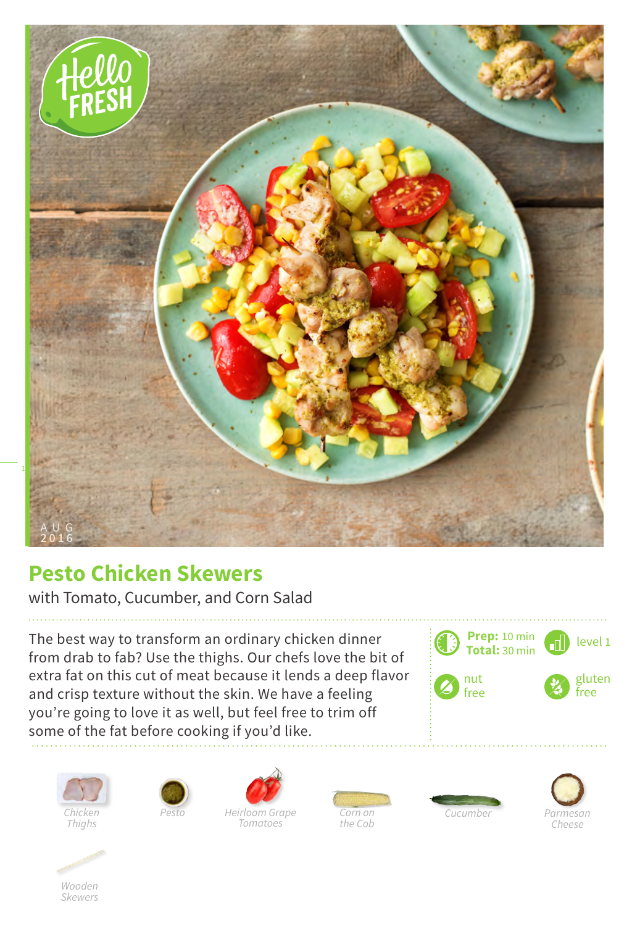

## **Pesto Chicken Skewers**

with Tomato, Cucumber, and Corn Salad

The best way to transform an ordinary chicken dinner from drab to fab? Use the thighs. Our chefs love the bit of extra fat on this cut of meat because it lends a deep flavor and crisp texture without the skin. We have a feeling you're going to love it as well, but feel free to trim off some of the fat before cooking if you'd like.







*Tomatoes*







*Wooden Skewers*